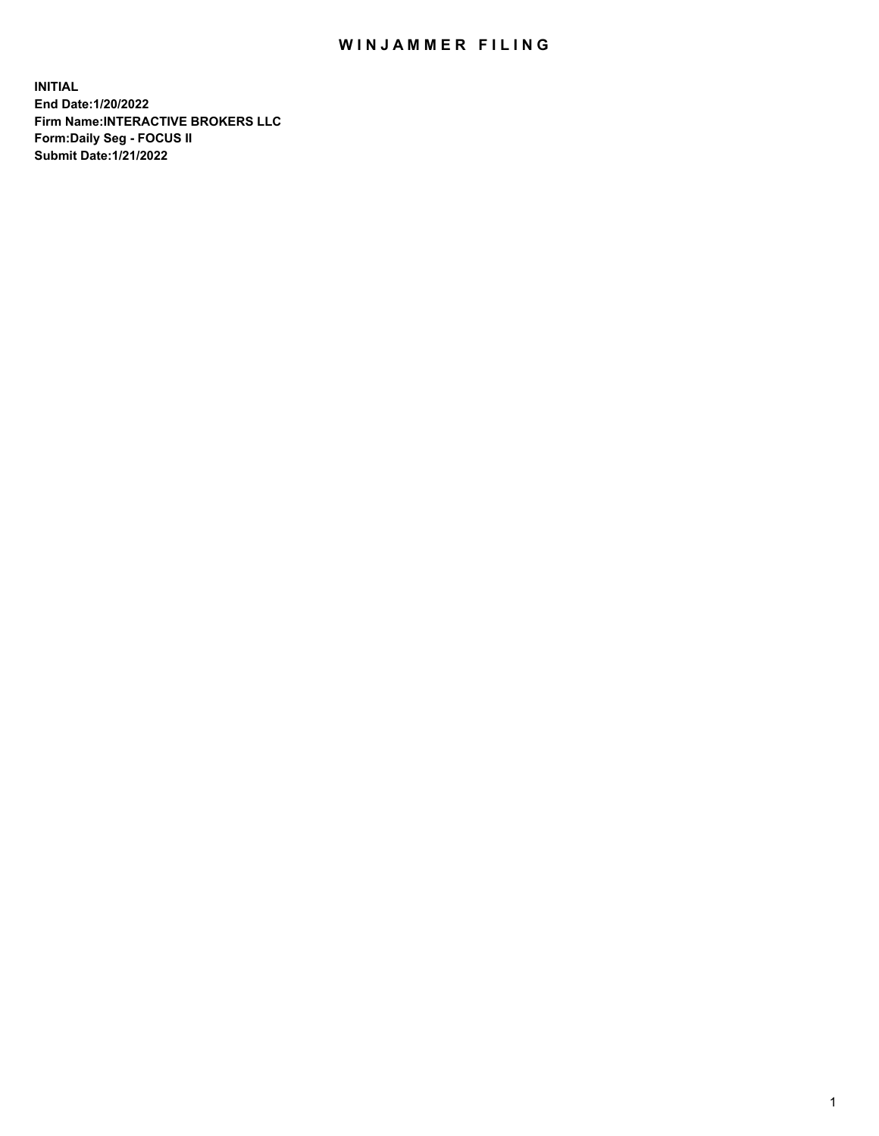## WIN JAMMER FILING

**INITIAL End Date:1/20/2022 Firm Name:INTERACTIVE BROKERS LLC Form:Daily Seg - FOCUS II Submit Date:1/21/2022**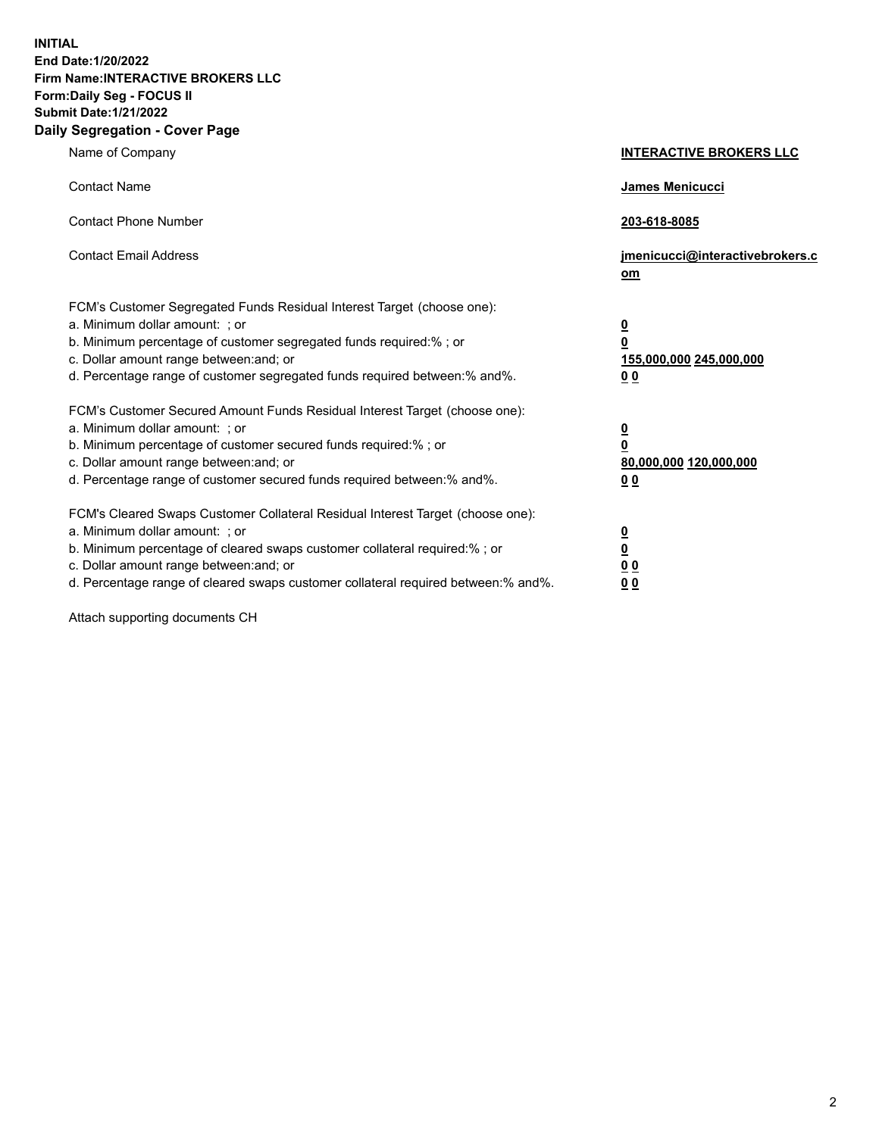**INITIAL End Date:1/20/2022 Firm Name:INTERACTIVE BROKERS LLC Form:Daily Seg - FOCUS II Submit Date:1/21/2022 Daily Segregation - Cover Page**

| Name of Company                                                                                                                                                                                                                                                                                                                | <b>INTERACTIVE BROKERS LLC</b>                                                   |
|--------------------------------------------------------------------------------------------------------------------------------------------------------------------------------------------------------------------------------------------------------------------------------------------------------------------------------|----------------------------------------------------------------------------------|
| <b>Contact Name</b>                                                                                                                                                                                                                                                                                                            | James Menicucci                                                                  |
| <b>Contact Phone Number</b>                                                                                                                                                                                                                                                                                                    | 203-618-8085                                                                     |
| <b>Contact Email Address</b>                                                                                                                                                                                                                                                                                                   | jmenicucci@interactivebrokers.c<br>om                                            |
| FCM's Customer Segregated Funds Residual Interest Target (choose one):<br>a. Minimum dollar amount: ; or<br>b. Minimum percentage of customer segregated funds required:% ; or<br>c. Dollar amount range between: and; or<br>d. Percentage range of customer segregated funds required between: % and %.                       | <u>0</u><br>$\overline{\mathbf{0}}$<br>155,000,000 245,000,000<br>0 <sub>0</sub> |
| FCM's Customer Secured Amount Funds Residual Interest Target (choose one):<br>a. Minimum dollar amount: ; or<br>b. Minimum percentage of customer secured funds required:% ; or<br>c. Dollar amount range between: and; or<br>d. Percentage range of customer secured funds required between:% and%.                           | <u>0</u><br>$\overline{\mathbf{0}}$<br>80,000,000 120,000,000<br>00              |
| FCM's Cleared Swaps Customer Collateral Residual Interest Target (choose one):<br>a. Minimum dollar amount: ; or<br>b. Minimum percentage of cleared swaps customer collateral required:% ; or<br>c. Dollar amount range between: and; or<br>d. Percentage range of cleared swaps customer collateral required between:% and%. | <u>0</u><br>$\underline{\mathbf{0}}$<br>0 <sub>0</sub><br>0 <sub>0</sub>         |

Attach supporting documents CH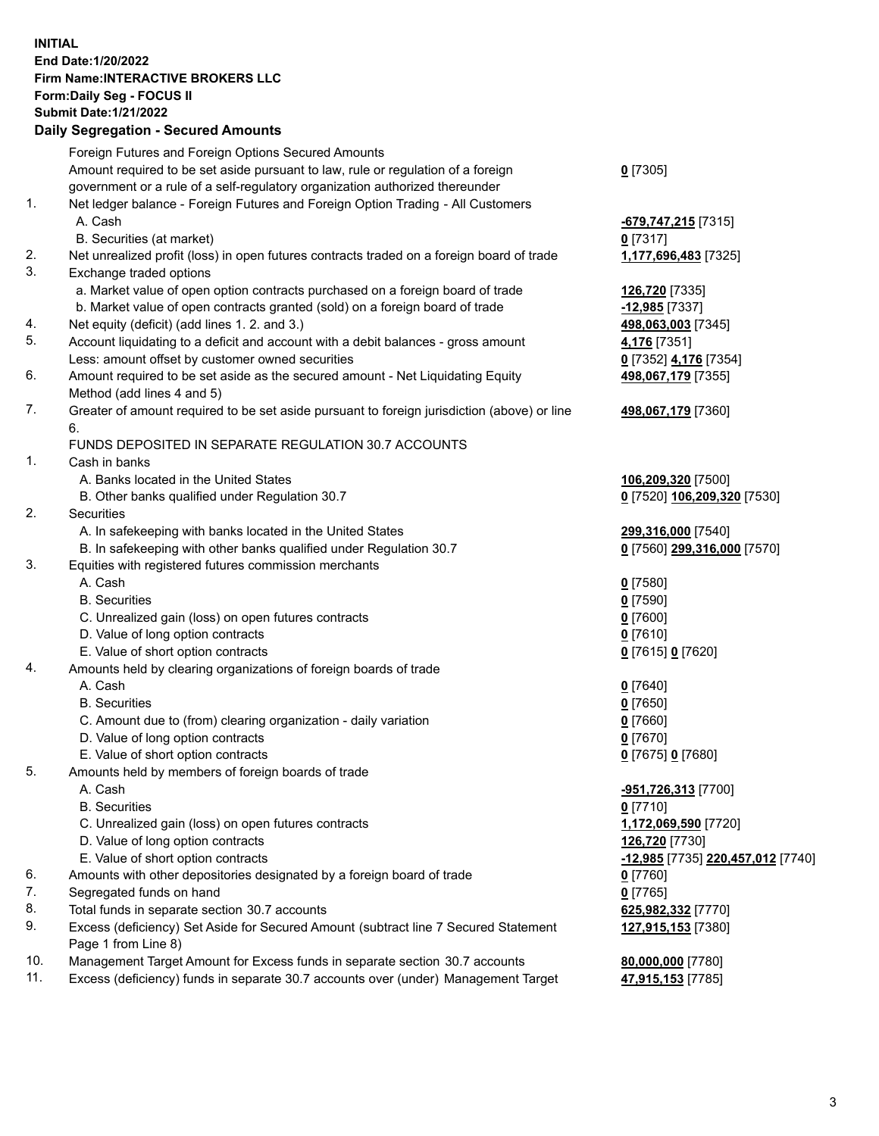**INITIAL End Date:1/20/2022 Firm Name:INTERACTIVE BROKERS LLC Form:Daily Seg - FOCUS II Submit Date:1/21/2022 Daily Segregation - Secured Amounts**

|                | Dany Ocgregation - Oceanea Anioante                                                               |                                   |
|----------------|---------------------------------------------------------------------------------------------------|-----------------------------------|
|                | Foreign Futures and Foreign Options Secured Amounts                                               |                                   |
|                | Amount required to be set aside pursuant to law, rule or regulation of a foreign                  | $0$ [7305]                        |
|                | government or a rule of a self-regulatory organization authorized thereunder                      |                                   |
| $\mathbf{1}$ . | Net ledger balance - Foreign Futures and Foreign Option Trading - All Customers                   |                                   |
|                | A. Cash                                                                                           | <u>-679,747,215</u> [7315]        |
|                | B. Securities (at market)                                                                         | 0 [7317]                          |
| 2.             | Net unrealized profit (loss) in open futures contracts traded on a foreign board of trade         | 1,177,696,483 [7325]              |
| 3.             | Exchange traded options                                                                           |                                   |
|                | a. Market value of open option contracts purchased on a foreign board of trade                    | 126,720 [7335]                    |
|                | b. Market value of open contracts granted (sold) on a foreign board of trade                      | $-12,985$ [7337]                  |
| 4.             | Net equity (deficit) (add lines 1. 2. and 3.)                                                     | 498,063,003 [7345]                |
| 5.             | Account liquidating to a deficit and account with a debit balances - gross amount                 | 4,176 [7351]                      |
|                | Less: amount offset by customer owned securities                                                  | 0 [7352] 4,176 [7354]             |
| 6.             | Amount required to be set aside as the secured amount - Net Liquidating Equity                    | 498,067,179 [7355]                |
|                | Method (add lines 4 and 5)                                                                        |                                   |
| 7.             | Greater of amount required to be set aside pursuant to foreign jurisdiction (above) or line<br>6. | 498,067,179 [7360]                |
|                | FUNDS DEPOSITED IN SEPARATE REGULATION 30.7 ACCOUNTS                                              |                                   |
| $\mathbf{1}$ . | Cash in banks                                                                                     |                                   |
|                | A. Banks located in the United States                                                             | 106,209,320 [7500]                |
|                | B. Other banks qualified under Regulation 30.7                                                    | 0 [7520] 106,209,320 [7530]       |
| 2.             | <b>Securities</b>                                                                                 |                                   |
|                | A. In safekeeping with banks located in the United States                                         | 299,316,000 [7540]                |
|                | B. In safekeeping with other banks qualified under Regulation 30.7                                | 0 [7560] 299,316,000 [7570]       |
| 3.             | Equities with registered futures commission merchants                                             |                                   |
|                | A. Cash                                                                                           | $Q$ [7580]                        |
|                | <b>B.</b> Securities                                                                              | $0$ [7590]                        |
|                | C. Unrealized gain (loss) on open futures contracts                                               | $0$ [7600]                        |
|                | D. Value of long option contracts                                                                 | $0$ [7610]                        |
|                | E. Value of short option contracts                                                                | 0 [7615] 0 [7620]                 |
| 4.             | Amounts held by clearing organizations of foreign boards of trade                                 |                                   |
|                | A. Cash                                                                                           | $Q$ [7640]                        |
|                | <b>B.</b> Securities                                                                              | $0$ [7650]                        |
|                | C. Amount due to (from) clearing organization - daily variation                                   | $0$ [7660]                        |
|                | D. Value of long option contracts                                                                 | $0$ [7670]                        |
|                | E. Value of short option contracts                                                                | 0 [7675] 0 [7680]                 |
| 5.             | Amounts held by members of foreign boards of trade                                                |                                   |
|                | A. Cash                                                                                           | -951,726,313 [7700]               |
|                | <b>B.</b> Securities                                                                              | $0$ [7710]                        |
|                | C. Unrealized gain (loss) on open futures contracts                                               | 1,172,069,590 [7720]              |
|                | D. Value of long option contracts                                                                 | 126,720 [7730]                    |
|                | E. Value of short option contracts                                                                | -12,985 [7735] 220,457,012 [7740] |
| 6.             | Amounts with other depositories designated by a foreign board of trade                            | $0$ [7760]                        |
| 7.             | Segregated funds on hand                                                                          | $0$ [7765]                        |
| 8.             | Total funds in separate section 30.7 accounts                                                     | 625,982,332 [7770]                |
| 9.             | Excess (deficiency) Set Aside for Secured Amount (subtract line 7 Secured Statement               | 127,915,153 [7380]                |
|                | Page 1 from Line 8)                                                                               |                                   |
| 10.            | Management Target Amount for Excess funds in separate section 30.7 accounts                       | 80,000,000 [7780]                 |
| 11.            | Excess (deficiency) funds in separate 30.7 accounts over (under) Management Target                | 47,915,153 [7785]                 |
|                |                                                                                                   |                                   |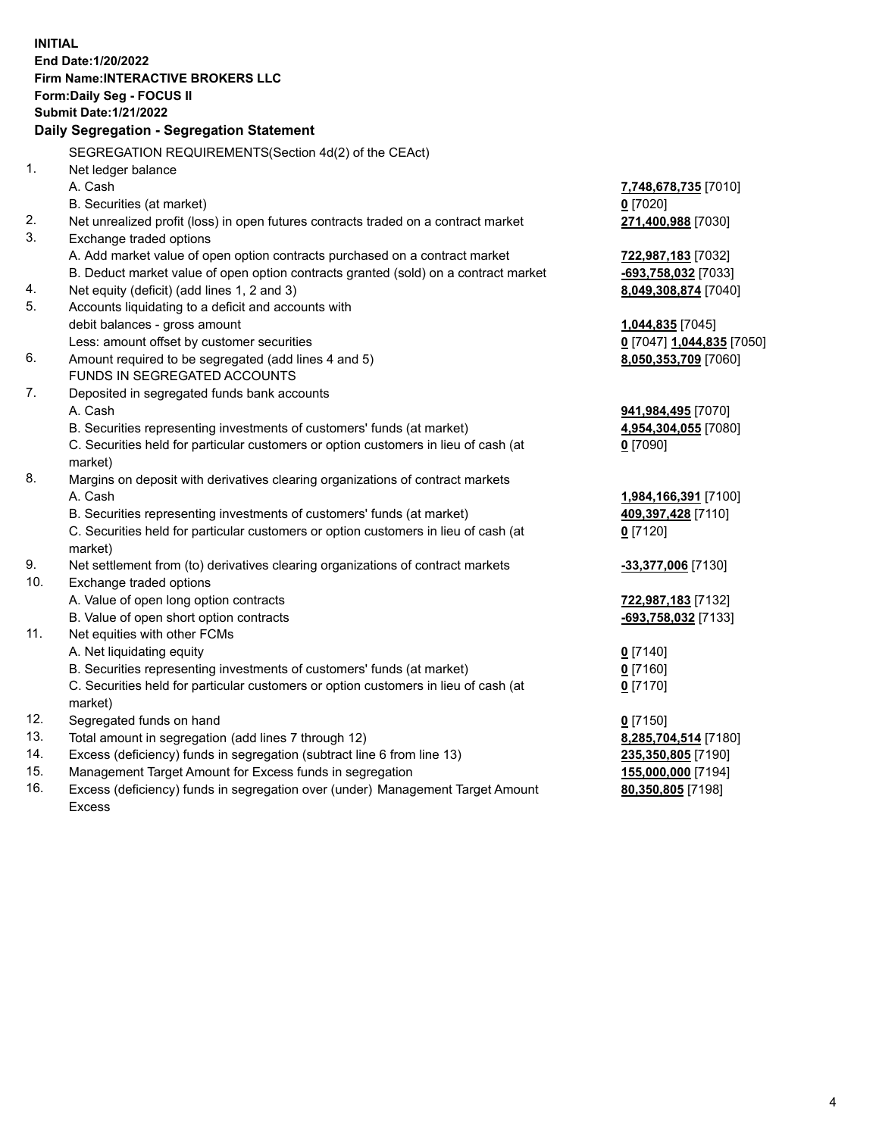**INITIAL End Date:1/20/2022 Firm Name:INTERACTIVE BROKERS LLC Form:Daily Seg - FOCUS II Submit Date:1/21/2022 Daily Segregation - Segregation Statement** SEGREGATION REQUIREMENTS(Section 4d(2) of the CEAct) 1. Net ledger balance A. Cash **7,748,678,735** [7010] B. Securities (at market) **0** [7020] 2. Net unrealized profit (loss) in open futures contracts traded on a contract market **271,400,988** [7030] 3. Exchange traded options A. Add market value of open option contracts purchased on a contract market **722,987,183** [7032] B. Deduct market value of open option contracts granted (sold) on a contract market **-693,758,032** [7033] 4. Net equity (deficit) (add lines 1, 2 and 3) **8,049,308,874** [7040] 5. Accounts liquidating to a deficit and accounts with debit balances - gross amount **1,044,835** [7045] Less: amount offset by customer securities **0** [7047] **1,044,835** [7050] 6. Amount required to be segregated (add lines 4 and 5) **8,050,353,709** [7060] FUNDS IN SEGREGATED ACCOUNTS 7. Deposited in segregated funds bank accounts A. Cash **941,984,495** [7070] B. Securities representing investments of customers' funds (at market) **4,954,304,055** [7080] C. Securities held for particular customers or option customers in lieu of cash (at market) **0** [7090] 8. Margins on deposit with derivatives clearing organizations of contract markets A. Cash **1,984,166,391** [7100] B. Securities representing investments of customers' funds (at market) **409,397,428** [7110] C. Securities held for particular customers or option customers in lieu of cash (at market) **0** [7120] 9. Net settlement from (to) derivatives clearing organizations of contract markets **-33,377,006** [7130] 10. Exchange traded options A. Value of open long option contracts **722,987,183** [7132] B. Value of open short option contracts **-693,758,032** [7133] 11. Net equities with other FCMs A. Net liquidating equity **0** [7140] B. Securities representing investments of customers' funds (at market) **0** [7160] C. Securities held for particular customers or option customers in lieu of cash (at market) **0** [7170] 12. Segregated funds on hand **0** [7150] 13. Total amount in segregation (add lines 7 through 12) **8,285,704,514** [7180] 14. Excess (deficiency) funds in segregation (subtract line 6 from line 13) **235,350,805** [7190] 15. Management Target Amount for Excess funds in segregation **155,000,000** [7194] 16. Excess (deficiency) funds in segregation over (under) Management Target Amount **80,350,805** [7198]

Excess